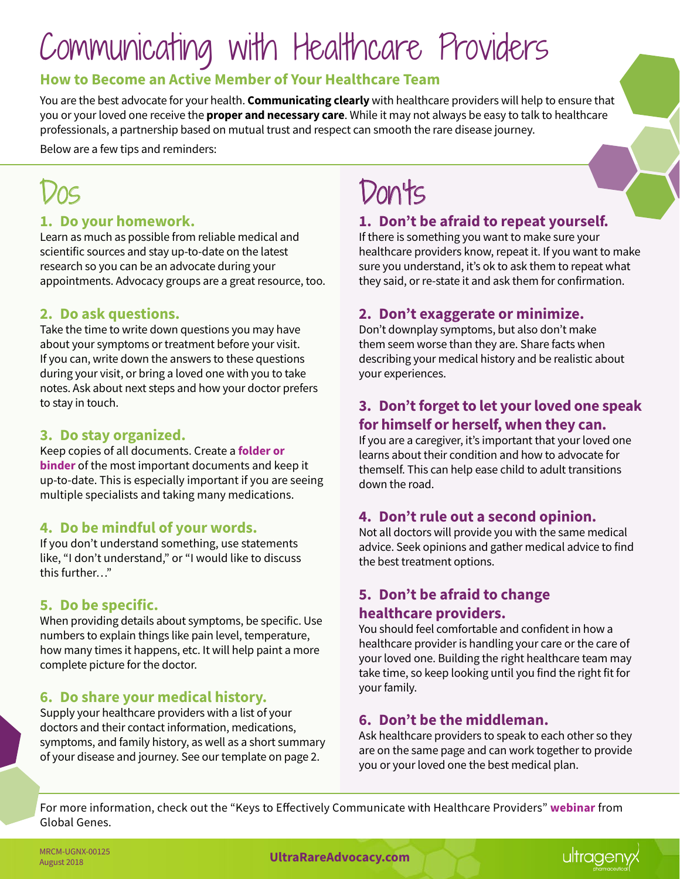# Communicating with Healthcare Providers

#### **How to Become an Active Member of Your Healthcare Team**

You are the best advocate for your health. **Communicating clearly** with healthcare providers will help to ensure that you or your loved one receive the **proper and necessary care**. While it may not always be easy to talk to healthcare professionals, a partnership based on mutual trust and respect can smooth the rare disease journey.

Below are a few tips and reminders:

#### **1. Do your homework.**

Learn as much as possible from reliable medical and scientific sources and stay up-to-date on the latest research so you can be an advocate during your appointments. Advocacy groups are a great resource, too.

#### **2. Do ask questions.**

Take the time to write down questions you may have about your symptoms or treatment before your visit. If you can, write down the answers to these questions during your visit, or bring a loved one with you to take notes. Ask about next steps and how your doctor prefers to stay in touch.

#### **3. Do stay organized.**

Keep copies of all documents. Create a **[folder or](https://globalgenes.org/toolkits/building-a-care-notebook/carenotebook/)  [binder](https://globalgenes.org/toolkits/building-a-care-notebook/carenotebook/)** of the most important documents and keep it up-to-date. This is especially important if you are seeing multiple specialists and taking many medications.

#### **4. Do be mindful of your words.**

If you don't understand something, use statements like, "I don't understand," or "I would like to discuss this further…"

#### **5. Do be specific.**

When providing details about symptoms, be specific. Use numbers to explain things like pain level, temperature, how many times it happens, etc. It will help paint a more complete picture for the doctor.

#### **6. Do share your medical history.**

Supply your healthcare providers with a list of your doctors and their contact information, medications, symptoms, and family history, as well as a short summary of your disease and journey. See our template on page 2.

## Don'ts

#### **1. Don't be afraid to repeat yourself.**

If there is something you want to make sure your healthcare providers know, repeat it. If you want to make sure you understand, it's ok to ask them to repeat what they said, or re-state it and ask them for confirmation.

#### **2. Don't exaggerate or minimize.**

Don't downplay symptoms, but also don't make them seem worse than they are. Share facts when describing your medical history and be realistic about your experiences.

#### **3. Don't forget to let your loved one speak for himself or herself, when they can.**

If you are a caregiver, it's important that your loved one learns about their condition and how to advocate for themself. This can help ease child to adult transitions down the road.

#### **4. Don't rule out a second opinion.**

Not all doctors will provide you with the same medical advice. Seek opinions and gather medical advice to find the best treatment options.

#### **5. Don't be afraid to change healthcare providers.**

You should feel comfortable and confident in how a healthcare provider is handling your care or the care of your loved one. Building the right healthcare team may take time, so keep looking until you find the right fit for your family.

#### **6. Don't be the middleman.**

Ask healthcare providers to speak to each other so they are on the same page and can work together to provide you or your loved one the best medical plan.

For more information, check out the "Keys to Effectively Communicate with Healthcare Providers" **[webinar](https://globalgenes.org/rare-webinar-communicate-with-healthcare/)** from Global Genes.

MRCM-0GNX-00125<br>August 2018 **[UltraRareAdvocacy.com](http://UltraRareAdvocacy.com)**